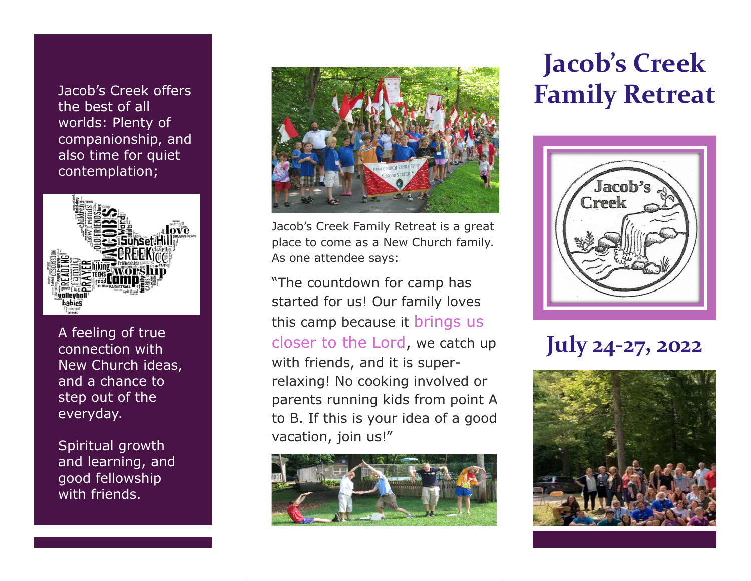Jacob's Creek offers the best of all worlds: Plenty of companionship, and also time for quiet contemplation;



A feeling of true connection with New Church ideas, and a chance to step out of the everyday.

Spiritual growth and learning, and good fellowship with friends.



Jacob's Creek Family Retreat is a great place to come as a New Church family. As one attendee says:

"The countdown for camp has started for us! Our family loves this camp because it brings us closer to the Lord, we catch up with friends, and it is superrelaxing! No cooking involved or parents running kids from point A to B. If this is your idea of a good vacation, join us!"



# **Jacob's Creek Family Retreat**



## **July 24-27, 2022**